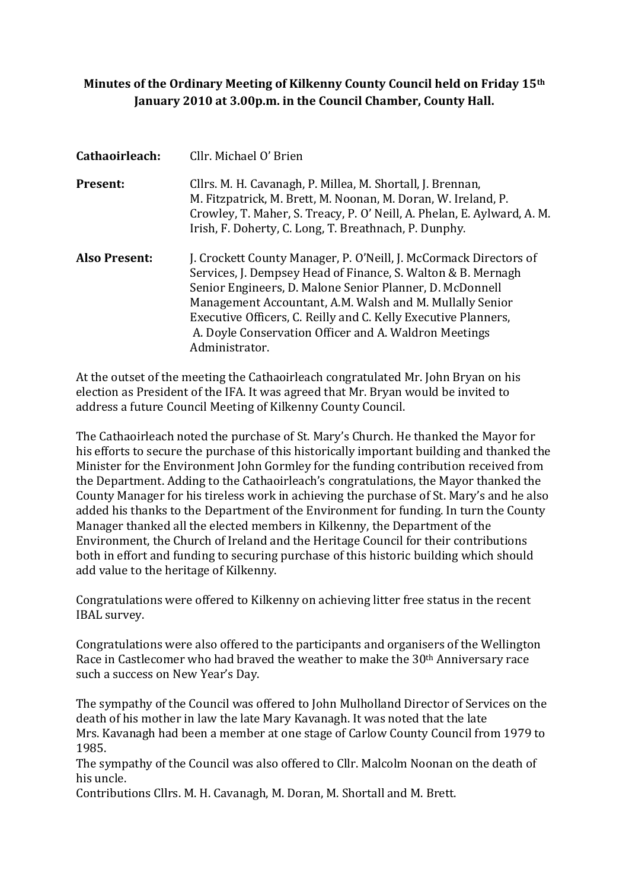# **Minutes of the Ordinary Meeting of Kilkenny County Council held on Friday 15th January 2010 at 3.00p.m. in the Council Chamber, County Hall.**

| Cathaoirleach:       | Cllr. Michael O' Brien                                                                                                                                                                                                                                                                                                                                                                                 |
|----------------------|--------------------------------------------------------------------------------------------------------------------------------------------------------------------------------------------------------------------------------------------------------------------------------------------------------------------------------------------------------------------------------------------------------|
| <b>Present:</b>      | Cllrs. M. H. Cavanagh, P. Millea, M. Shortall, J. Brennan,<br>M. Fitzpatrick, M. Brett, M. Noonan, M. Doran, W. Ireland, P.<br>Crowley, T. Maher, S. Treacy, P. O' Neill, A. Phelan, E. Aylward, A. M.<br>Irish, F. Doherty, C. Long, T. Breathnach, P. Dunphy.                                                                                                                                        |
| <b>Also Present:</b> | J. Crockett County Manager, P. O'Neill, J. McCormack Directors of<br>Services, J. Dempsey Head of Finance, S. Walton & B. Mernagh<br>Senior Engineers, D. Malone Senior Planner, D. McDonnell<br>Management Accountant, A.M. Walsh and M. Mullally Senior<br>Executive Officers, C. Reilly and C. Kelly Executive Planners,<br>A. Doyle Conservation Officer and A. Waldron Meetings<br>Administrator. |

At the outset of the meeting the Cathaoirleach congratulated Mr. John Bryan on his election as President of the IFA. It was agreed that Mr. Bryan would be invited to address a future Council Meeting of Kilkenny County Council.

The Cathaoirleach noted the purchase of St. Mary's Church. He thanked the Mayor for his efforts to secure the purchase of this historically important building and thanked the Minister for the Environment John Gormley for the funding contribution received from the Department. Adding to the Cathaoirleach's congratulations, the Mayor thanked the County Manager for his tireless work in achieving the purchase of St. Mary's and he also added his thanks to the Department of the Environment for funding. In turn the County Manager thanked all the elected members in Kilkenny, the Department of the Environment, the Church of Ireland and the Heritage Council for their contributions both in effort and funding to securing purchase of this historic building which should add value to the heritage of Kilkenny.

Congratulations were offered to Kilkenny on achieving litter free status in the recent IBAL survey.

Congratulations were also offered to the participants and organisers of the Wellington Race in Castlecomer who had braved the weather to make the 30<sup>th</sup> Anniversary race such a success on New Year's Day.

The sympathy of the Council was offered to John Mulholland Director of Services on the death of his mother in law the late Mary Kavanagh. It was noted that the late Mrs. Kavanagh had been a member at one stage of Carlow County Council from 1979 to 1985.

The sympathy of the Council was also offered to Cllr. Malcolm Noonan on the death of his uncle.

Contributions Cllrs. M. H. Cavanagh, M. Doran, M. Shortall and M. Brett.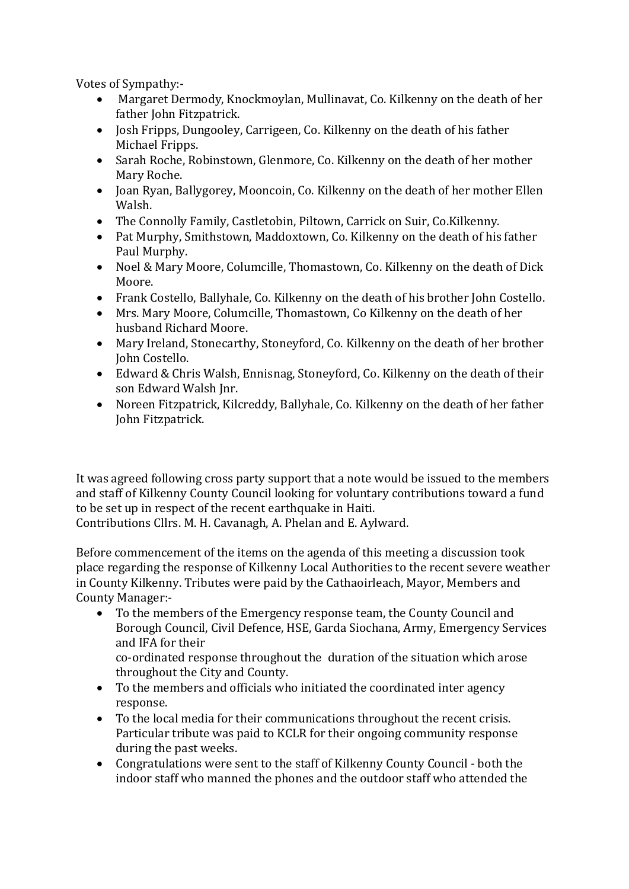Votes of Sympathy:-

- Margaret Dermody, Knockmoylan, Mullinavat, Co. Kilkenny on the death of her father John Fitzpatrick.
- Josh Fripps, Dungooley, Carrigeen, Co. Kilkenny on the death of his father Michael Fripps.
- Sarah Roche, Robinstown, Glenmore, Co. Kilkenny on the death of her mother Mary Roche.
- Joan Ryan, Ballygorey, Mooncoin, Co. Kilkenny on the death of her mother Ellen Walsh.
- The Connolly Family, Castletobin, Piltown, Carrick on Suir, Co.Kilkenny.
- Pat Murphy, Smithstown, Maddoxtown, Co. Kilkenny on the death of his father Paul Murphy.
- Noel & Mary Moore, Columcille, Thomastown, Co. Kilkenny on the death of Dick Moore.
- Frank Costello, Ballyhale, Co. Kilkenny on the death of his brother John Costello.
- Mrs. Mary Moore, Columcille, Thomastown, Co Kilkenny on the death of her husband Richard Moore.
- Mary Ireland, Stonecarthy, Stoneyford, Co. Kilkenny on the death of her brother John Costello.
- Edward & Chris Walsh, Ennisnag, Stoneyford, Co. Kilkenny on the death of their son Edward Walsh Jnr.
- Noreen Fitzpatrick, Kilcreddy, Ballyhale, Co. Kilkenny on the death of her father John Fitzpatrick.

It was agreed following cross party support that a note would be issued to the members and staff of Kilkenny County Council looking for voluntary contributions toward a fund to be set up in respect of the recent earthquake in Haiti.

Contributions Cllrs. M. H. Cavanagh, A. Phelan and E. Aylward.

Before commencement of the items on the agenda of this meeting a discussion took place regarding the response of Kilkenny Local Authorities to the recent severe weather in County Kilkenny. Tributes were paid by the Cathaoirleach, Mayor, Members and County Manager:-

• To the members of the Emergency response team, the County Council and Borough Council, Civil Defence, HSE, Garda Siochana, Army, Emergency Services and IFA for their

co-ordinated response throughout the duration of the situation which arose throughout the City and County.

- To the members and officials who initiated the coordinated inter agency response.
- To the local media for their communications throughout the recent crisis. Particular tribute was paid to KCLR for their ongoing community response during the past weeks.
- Congratulations were sent to the staff of Kilkenny County Council both the indoor staff who manned the phones and the outdoor staff who attended the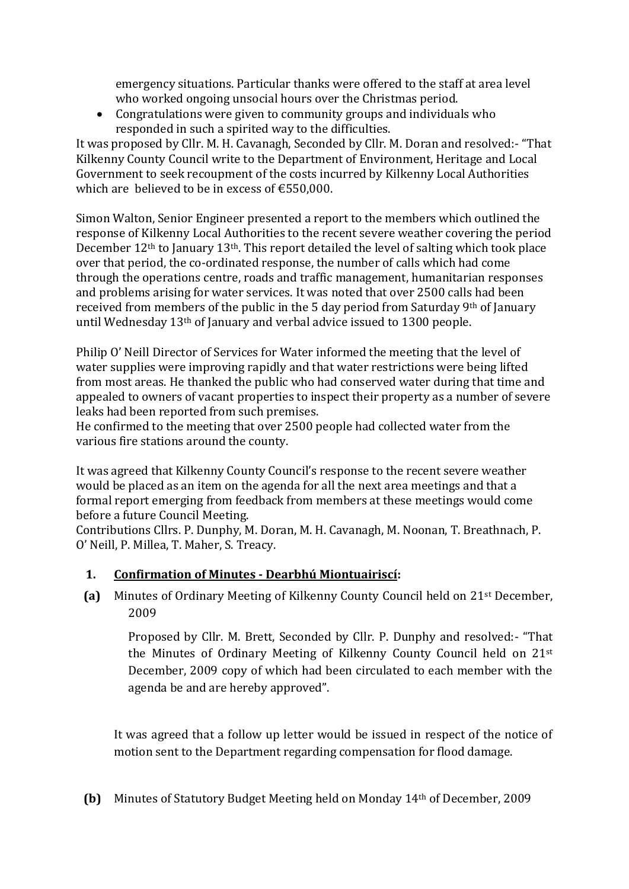emergency situations. Particular thanks were offered to the staff at area level who worked ongoing unsocial hours over the Christmas period.

• Congratulations were given to community groups and individuals who responded in such a spirited way to the difficulties.

It was proposed by Cllr. M. H. Cavanagh, Seconded by Cllr. M. Doran and resolved:- "That Kilkenny County Council write to the Department of Environment, Heritage and Local Government to seek recoupment of the costs incurred by Kilkenny Local Authorities which are believed to be in excess of  $£550,000$ .

Simon Walton, Senior Engineer presented a report to the members which outlined the response of Kilkenny Local Authorities to the recent severe weather covering the period December 12th to January 13th. This report detailed the level of salting which took place over that period, the co-ordinated response, the number of calls which had come through the operations centre, roads and traffic management, humanitarian responses and problems arising for water services. It was noted that over 2500 calls had been received from members of the public in the 5 day period from Saturday 9th of January until Wednesday 13th of January and verbal advice issued to 1300 people.

Philip O' Neill Director of Services for Water informed the meeting that the level of water supplies were improving rapidly and that water restrictions were being lifted from most areas. He thanked the public who had conserved water during that time and appealed to owners of vacant properties to inspect their property as a number of severe leaks had been reported from such premises.

He confirmed to the meeting that over 2500 people had collected water from the various fire stations around the county.

It was agreed that Kilkenny County Council's response to the recent severe weather would be placed as an item on the agenda for all the next area meetings and that a formal report emerging from feedback from members at these meetings would come before a future Council Meeting.

Contributions Cllrs. P. Dunphy, M. Doran, M. H. Cavanagh, M. Noonan, T. Breathnach, P. O' Neill, P. Millea, T. Maher, S. Treacy.

# **1. Confirmation of Minutes - Dearbhú Miontuairiscí:**

**(a)** Minutes of Ordinary Meeting of Kilkenny County Council held on 21st December, 2009

Proposed by Cllr. M. Brett, Seconded by Cllr. P. Dunphy and resolved:- "That the Minutes of Ordinary Meeting of Kilkenny County Council held on 21st December, 2009 copy of which had been circulated to each member with the agenda be and are hereby approved".

It was agreed that a follow up letter would be issued in respect of the notice of motion sent to the Department regarding compensation for flood damage.

**(b)** Minutes of Statutory Budget Meeting held on Monday 14th of December, 2009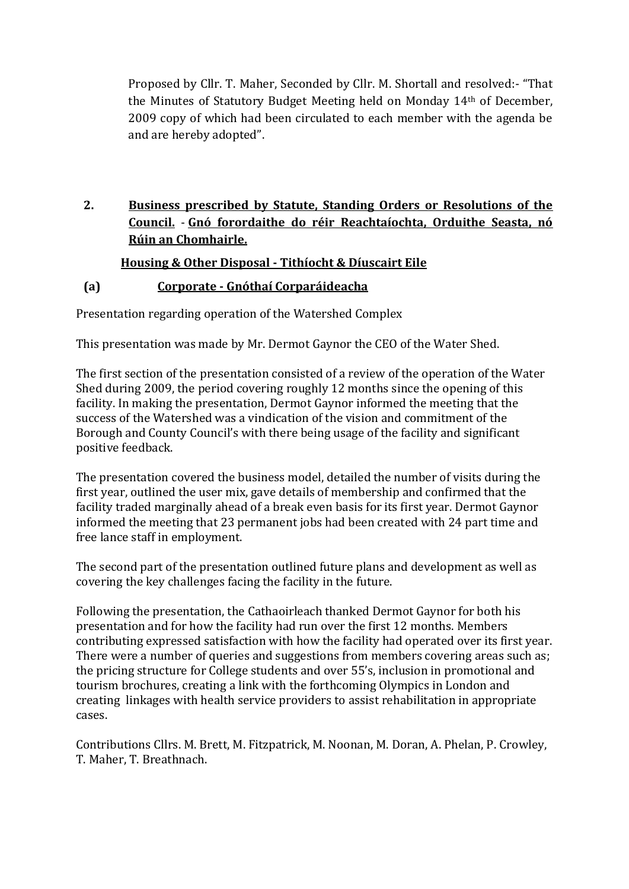Proposed by Cllr. T. Maher, Seconded by Cllr. M. Shortall and resolved:- "That the Minutes of Statutory Budget Meeting held on Monday 14th of December, 2009 copy of which had been circulated to each member with the agenda be and are hereby adopted".

# **2. Business prescribed by Statute, Standing Orders or Resolutions of the Council.** - **Gnó forordaithe do réir Reachtaíochta, Orduithe Seasta, nó Rúin an Chomhairle.**

# **Housing & Other Disposal - Tithíocht & Díuscairt Eile**

# **(a) Corporate - Gnóthaí Corparáideacha**

Presentation regarding operation of the Watershed Complex

This presentation was made by Mr. Dermot Gaynor the CEO of the Water Shed.

The first section of the presentation consisted of a review of the operation of the Water Shed during 2009, the period covering roughly 12 months since the opening of this facility. In making the presentation, Dermot Gaynor informed the meeting that the success of the Watershed was a vindication of the vision and commitment of the Borough and County Council's with there being usage of the facility and significant positive feedback.

The presentation covered the business model, detailed the number of visits during the first year, outlined the user mix, gave details of membership and confirmed that the facility traded marginally ahead of a break even basis for its first year. Dermot Gaynor informed the meeting that 23 permanent jobs had been created with 24 part time and free lance staff in employment.

The second part of the presentation outlined future plans and development as well as covering the key challenges facing the facility in the future.

Following the presentation, the Cathaoirleach thanked Dermot Gaynor for both his presentation and for how the facility had run over the first 12 months. Members contributing expressed satisfaction with how the facility had operated over its first year. There were a number of queries and suggestions from members covering areas such as; the pricing structure for College students and over 55's, inclusion in promotional and tourism brochures, creating a link with the forthcoming Olympics in London and creating linkages with health service providers to assist rehabilitation in appropriate cases.

Contributions Cllrs. M. Brett, M. Fitzpatrick, M. Noonan, M. Doran, A. Phelan, P. Crowley, T. Maher, T. Breathnach.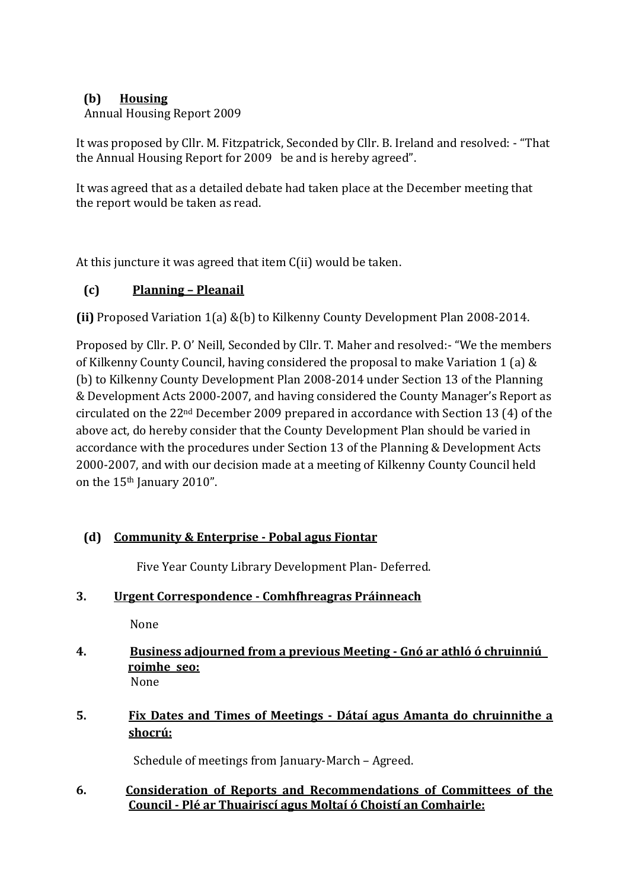# **(b) Housing**

# Annual Housing Report 2009

It was proposed by Cllr. M. Fitzpatrick, Seconded by Cllr. B. Ireland and resolved: - "That the Annual Housing Report for 2009 be and is hereby agreed".

It was agreed that as a detailed debate had taken place at the December meeting that the report would be taken as read.

At this juncture it was agreed that item C(ii) would be taken.

# **(c) Planning – Pleanail**

**(ii)** Proposed Variation 1(a) &(b) to Kilkenny County Development Plan 2008-2014.

Proposed by Cllr. P. O' Neill, Seconded by Cllr. T. Maher and resolved:- "We the members of Kilkenny County Council, having considered the proposal to make Variation 1 (a) & (b) to Kilkenny County Development Plan 2008-2014 under Section 13 of the Planning & Development Acts 2000-2007, and having considered the County Manager's Report as circulated on the 22nd December 2009 prepared in accordance with Section 13 (4) of the above act, do hereby consider that the County Development Plan should be varied in accordance with the procedures under Section 13 of the Planning & Development Acts 2000-2007, and with our decision made at a meeting of Kilkenny County Council held on the 15<sup>th</sup> January 2010".

# **(d) Community & Enterprise - Pobal agus Fiontar**

Five Year County Library Development Plan- Deferred.

| 3. | Urgent Correspondence - Comhfhreagras Práinneach |  |
|----|--------------------------------------------------|--|
|    |                                                  |  |

None

- **4. Business adjourned from a previous Meeting - Gnó ar athló ó chruinniú roimhe seo:** None
- **5. Fix Dates and Times of Meetings - Dátaí agus Amanta do chruinnithe a shocrú:**

Schedule of meetings from January-March – Agreed.

# **6. Consideration of Reports and Recommendations of Committees of the Council - Plé ar Thuairiscí agus Moltaí ó Choistí an Comhairle:**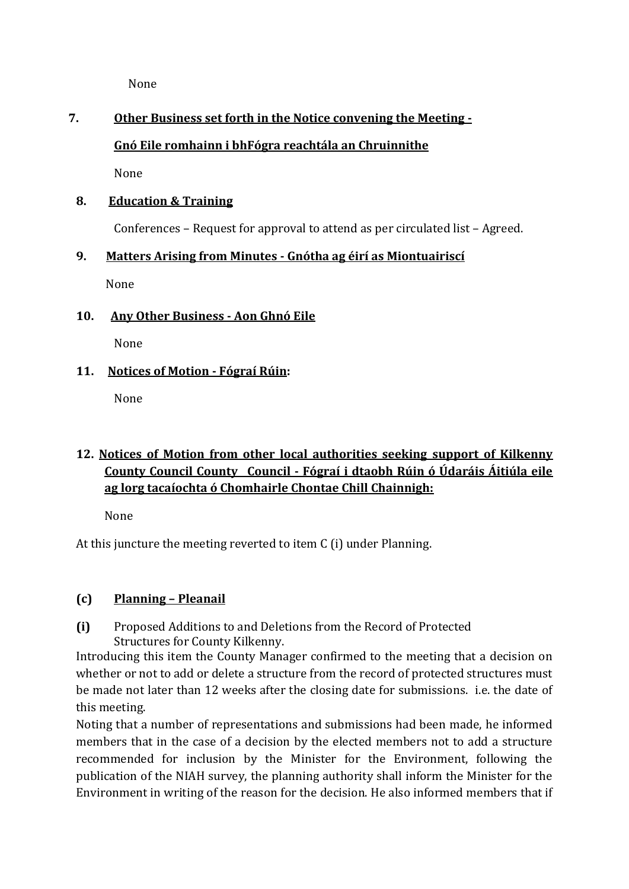None

# **7. Other Business set forth in the Notice convening the Meeting -**

# **Gnó Eile romhainn i bhFógra reachtála an Chruinnithe**

None

### **8. Education & Training**

Conferences – Request for approval to attend as per circulated list – Agreed.

# **9. Matters Arising from Minutes - Gnótha ag éirí as Miontuairiscí**

None

#### **10. Any Other Business - Aon Ghnó Eile**

None

# **11. Notices of Motion - Fógraí Rúin:**

None

# **12. Notices of Motion from other local authorities seeking support of Kilkenny County Council County Council - Fógraí i dtaobh Rúin ó Údaráis Áitiúla eile ag lorg tacaíochta ó Chomhairle Chontae Chill Chainnigh:**

None

At this juncture the meeting reverted to item C (i) under Planning.

# **(c) Planning – Pleanail**

**(i)** Proposed Additions to and Deletions from the Record of Protected Structures for County Kilkenny.

Introducing this item the County Manager confirmed to the meeting that a decision on whether or not to add or delete a structure from the record of protected structures must be made not later than 12 weeks after the closing date for submissions. i.e. the date of this meeting.

Noting that a number of representations and submissions had been made, he informed members that in the case of a decision by the elected members not to add a structure recommended for inclusion by the Minister for the Environment, following the publication of the NIAH survey, the planning authority shall inform the Minister for the Environment in writing of the reason for the decision. He also informed members that if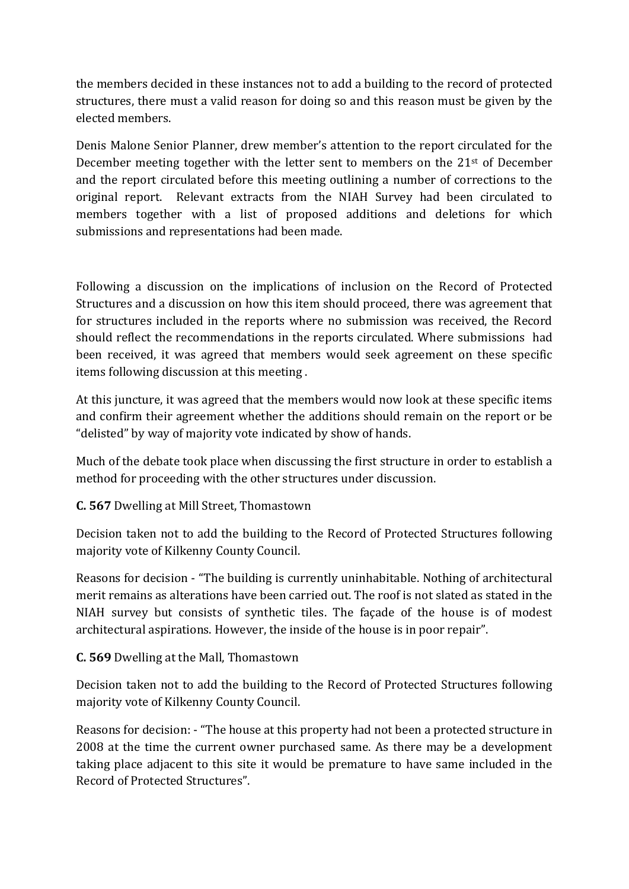the members decided in these instances not to add a building to the record of protected structures, there must a valid reason for doing so and this reason must be given by the elected members.

Denis Malone Senior Planner, drew member's attention to the report circulated for the December meeting together with the letter sent to members on the  $21<sup>st</sup>$  of December and the report circulated before this meeting outlining a number of corrections to the original report. Relevant extracts from the NIAH Survey had been circulated to members together with a list of proposed additions and deletions for which submissions and representations had been made.

Following a discussion on the implications of inclusion on the Record of Protected Structures and a discussion on how this item should proceed, there was agreement that for structures included in the reports where no submission was received, the Record should reflect the recommendations in the reports circulated. Where submissions had been received, it was agreed that members would seek agreement on these specific items following discussion at this meeting .

At this juncture, it was agreed that the members would now look at these specific items and confirm their agreement whether the additions should remain on the report or be "delisted" by way of majority vote indicated by show of hands.

Much of the debate took place when discussing the first structure in order to establish a method for proceeding with the other structures under discussion.

# **C. 567** Dwelling at Mill Street, Thomastown

Decision taken not to add the building to the Record of Protected Structures following majority vote of Kilkenny County Council.

Reasons for decision - "The building is currently uninhabitable. Nothing of architectural merit remains as alterations have been carried out. The roof is not slated as stated in the NIAH survey but consists of synthetic tiles. The façade of the house is of modest architectural aspirations. However, the inside of the house is in poor repair".

# **C. 569** Dwelling at the Mall, Thomastown

Decision taken not to add the building to the Record of Protected Structures following majority vote of Kilkenny County Council.

Reasons for decision: - "The house at this property had not been a protected structure in 2008 at the time the current owner purchased same. As there may be a development taking place adjacent to this site it would be premature to have same included in the Record of Protected Structures".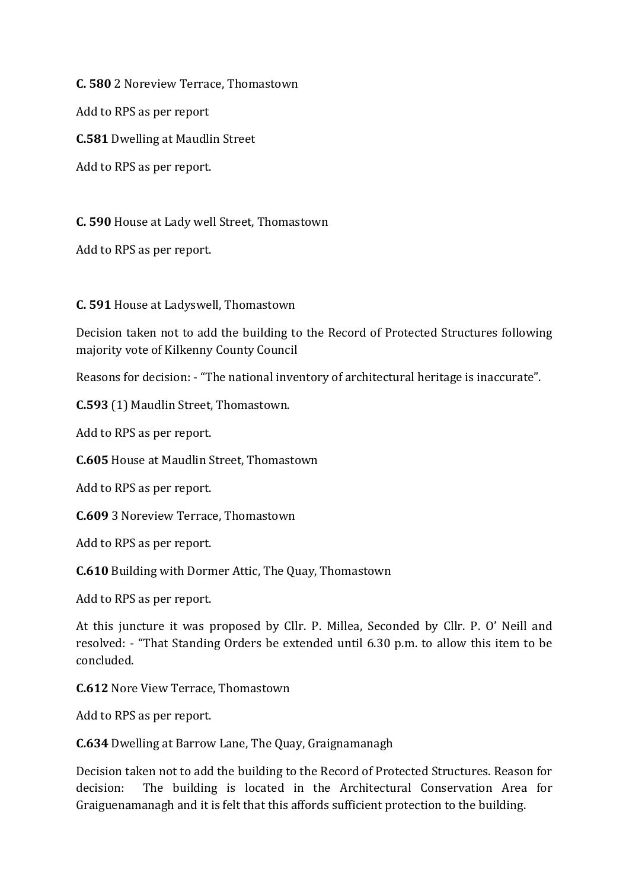**C. 580** 2 Noreview Terrace, Thomastown

Add to RPS as per report

**C.581** Dwelling at Maudlin Street

Add to RPS as per report.

**C. 590** House at Lady well Street, Thomastown

Add to RPS as per report.

**C. 591** House at Ladyswell, Thomastown

Decision taken not to add the building to the Record of Protected Structures following majority vote of Kilkenny County Council

Reasons for decision: - "The national inventory of architectural heritage is inaccurate".

**C.593** (1) Maudlin Street, Thomastown.

Add to RPS as per report.

**C.605** House at Maudlin Street, Thomastown

Add to RPS as per report.

**C.609** 3 Noreview Terrace, Thomastown

Add to RPS as per report.

**C.610** Building with Dormer Attic, The Quay, Thomastown

Add to RPS as per report.

At this juncture it was proposed by Cllr. P. Millea, Seconded by Cllr. P. O' Neill and resolved: - "That Standing Orders be extended until 6.30 p.m. to allow this item to be concluded.

**C.612** Nore View Terrace, Thomastown

Add to RPS as per report.

**C.634** Dwelling at Barrow Lane, The Quay, Graignamanagh

Decision taken not to add the building to the Record of Protected Structures. Reason for decision: The building is located in the Architectural Conservation Area for Graiguenamanagh and it is felt that this affords sufficient protection to the building.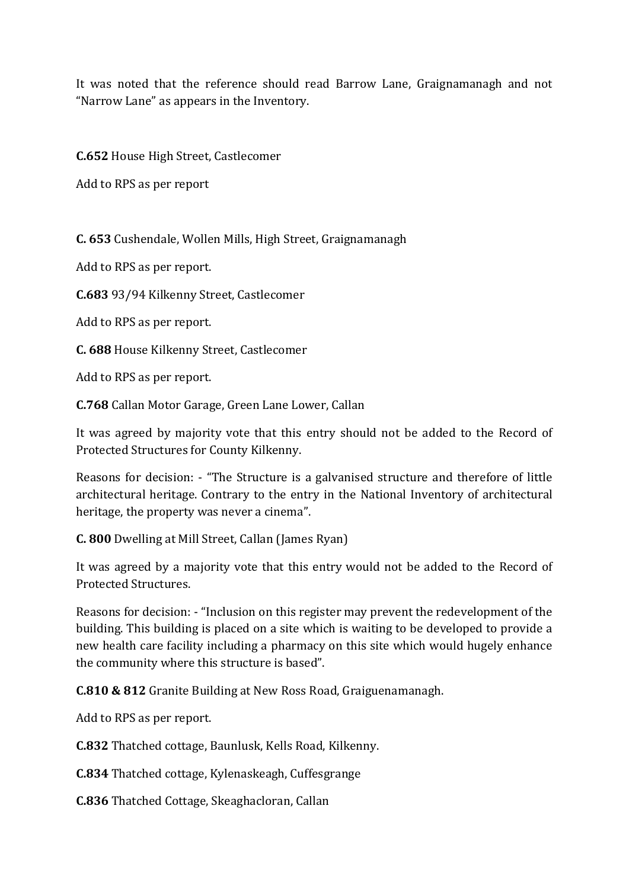It was noted that the reference should read Barrow Lane, Graignamanagh and not "Narrow Lane" as appears in the Inventory.

**C.652** House High Street, Castlecomer

Add to RPS as per report

**C. 653** Cushendale, Wollen Mills, High Street, Graignamanagh

Add to RPS as per report.

**C.683** 93/94 Kilkenny Street, Castlecomer

Add to RPS as per report.

**C. 688** House Kilkenny Street, Castlecomer

Add to RPS as per report.

**C.768** Callan Motor Garage, Green Lane Lower, Callan

It was agreed by majority vote that this entry should not be added to the Record of Protected Structures for County Kilkenny.

Reasons for decision: - "The Structure is a galvanised structure and therefore of little architectural heritage. Contrary to the entry in the National Inventory of architectural heritage, the property was never a cinema".

**C. 800** Dwelling at Mill Street, Callan (James Ryan)

It was agreed by a majority vote that this entry would not be added to the Record of Protected Structures.

Reasons for decision: - "Inclusion on this register may prevent the redevelopment of the building. This building is placed on a site which is waiting to be developed to provide a new health care facility including a pharmacy on this site which would hugely enhance the community where this structure is based".

**C.810 & 812** Granite Building at New Ross Road, Graiguenamanagh.

Add to RPS as per report.

**C.832** Thatched cottage, Baunlusk, Kells Road, Kilkenny.

**C.834** Thatched cottage, Kylenaskeagh, Cuffesgrange

**C.836** Thatched Cottage, Skeaghacloran, Callan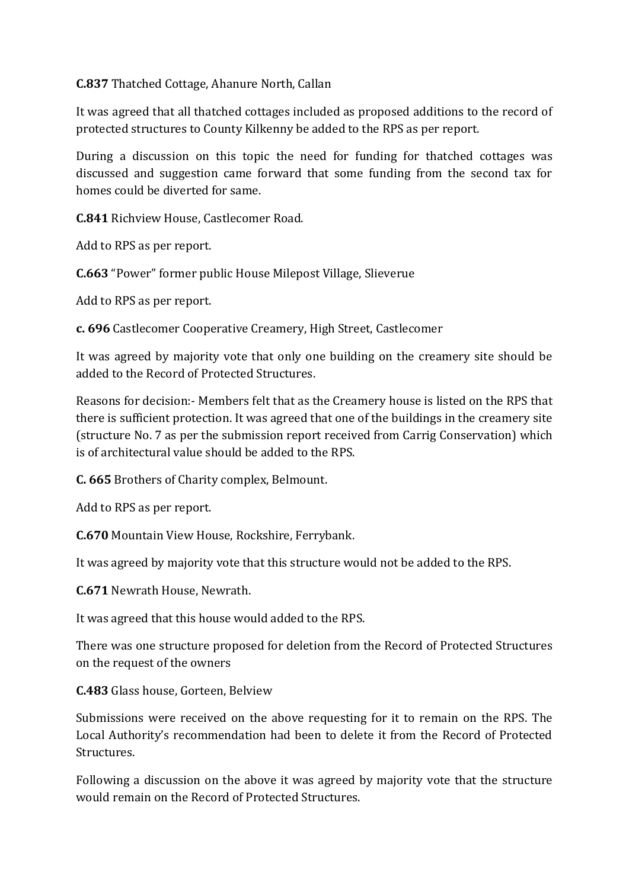**C.837** Thatched Cottage, Ahanure North, Callan

It was agreed that all thatched cottages included as proposed additions to the record of protected structures to County Kilkenny be added to the RPS as per report.

During a discussion on this topic the need for funding for thatched cottages was discussed and suggestion came forward that some funding from the second tax for homes could be diverted for same.

**C.841** Richview House, Castlecomer Road.

Add to RPS as per report.

**C.663** "Power" former public House Milepost Village, Slieverue

Add to RPS as per report.

**c. 696** Castlecomer Cooperative Creamery, High Street, Castlecomer

It was agreed by majority vote that only one building on the creamery site should be added to the Record of Protected Structures.

Reasons for decision:- Members felt that as the Creamery house is listed on the RPS that there is sufficient protection. It was agreed that one of the buildings in the creamery site (structure No. 7 as per the submission report received from Carrig Conservation) which is of architectural value should be added to the RPS.

**C. 665** Brothers of Charity complex, Belmount.

Add to RPS as per report.

**C.670** Mountain View House, Rockshire, Ferrybank.

It was agreed by majority vote that this structure would not be added to the RPS.

**C.671** Newrath House, Newrath.

It was agreed that this house would added to the RPS.

There was one structure proposed for deletion from the Record of Protected Structures on the request of the owners

**C.483** Glass house, Gorteen, Belview

Submissions were received on the above requesting for it to remain on the RPS. The Local Authority's recommendation had been to delete it from the Record of Protected Structures.

Following a discussion on the above it was agreed by majority vote that the structure would remain on the Record of Protected Structures.